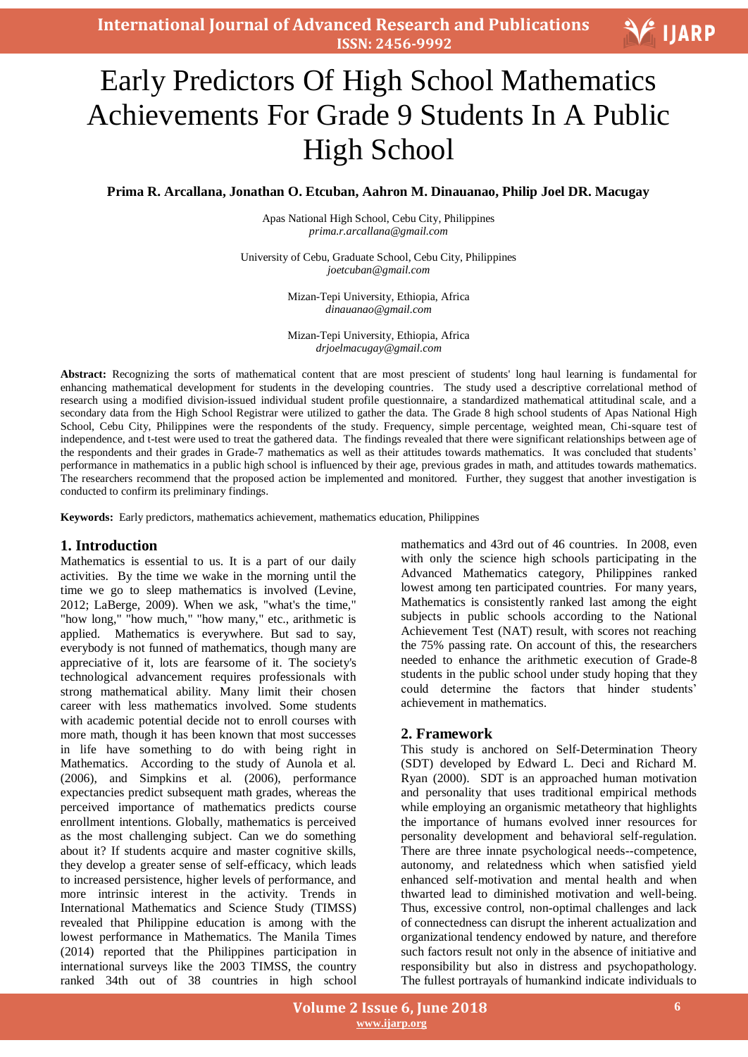# Early Predictors Of High School Mathematics Achievements For Grade 9 Students In A Public High School

**Prima R. Arcallana, Jonathan O. Etcuban, Aahron M. Dinauanao, Philip Joel DR. Macugay**

Apas National High School, Cebu City, Philippines *prima.r.arcallana@gmail.com*

University of Cebu, Graduate School, Cebu City, Philippines *joetcuban@gmail.com*

> Mizan-Tepi University, Ethiopia, Africa *dinauanao@gmail.com*

> Mizan-Tepi University, Ethiopia, Africa *drjoelmacugay@gmail.com*

**Abstract:** Recognizing the sorts of mathematical content that are most prescient of students' long haul learning is fundamental for enhancing mathematical development for students in the developing countries. The study used a descriptive correlational method of research using a modified division-issued individual student profile questionnaire, a standardized mathematical attitudinal scale, and a secondary data from the High School Registrar were utilized to gather the data. The Grade 8 high school students of Apas National High School, Cebu City, Philippines were the respondents of the study. Frequency, simple percentage, weighted mean, Chi-square test of independence, and t-test were used to treat the gathered data. The findings revealed that there were significant relationships between age of the respondents and their grades in Grade-7 mathematics as well as their attitudes towards mathematics. It was concluded that students' performance in mathematics in a public high school is influenced by their age, previous grades in math, and attitudes towards mathematics. The researchers recommend that the proposed action be implemented and monitored. Further, they suggest that another investigation is conducted to confirm its preliminary findings.

**Keywords:** Early predictors, mathematics achievement, mathematics education, Philippines

## **1. Introduction**

Mathematics is essential to us. It is a part of our daily activities. By the time we wake in the morning until the time we go to sleep mathematics is involved (Levine, 2012; LaBerge, 2009). When we ask, "what's the time," "how long," "how much," "how many," etc., arithmetic is applied. Mathematics is everywhere. But sad to say, everybody is not funned of mathematics, though many are appreciative of it, lots are fearsome of it. The society's technological advancement requires professionals with strong mathematical ability. Many limit their chosen career with less mathematics involved. Some students with academic potential decide not to enroll courses with more math, though it has been known that most successes in life have something to do with being right in Mathematics. According to the study of Aunola et al. (2006), and Simpkins et al. (2006), performance expectancies predict subsequent math grades, whereas the perceived importance of mathematics predicts course enrollment intentions. Globally, mathematics is perceived as the most challenging subject. Can we do something about it? If students acquire and master cognitive skills, they develop a greater sense of self-efficacy, which leads to increased persistence, higher levels of performance, and more intrinsic interest in the activity. Trends in International Mathematics and Science Study (TIMSS) revealed that Philippine education is among with the lowest performance in Mathematics. The Manila Times (2014) reported that the Philippines participation in international surveys like the 2003 TIMSS, the country ranked 34th out of 38 countries in high school mathematics and 43rd out of 46 countries. In 2008, even with only the science high schools participating in the Advanced Mathematics category, Philippines ranked lowest among ten participated countries. For many years, Mathematics is consistently ranked last among the eight subjects in public schools according to the National Achievement Test (NAT) result, with scores not reaching the 75% passing rate. On account of this, the researchers needed to enhance the arithmetic execution of Grade-8 students in the public school under study hoping that they could determine the factors that hinder students' achievement in mathematics.

## **2. Framework**

This study is anchored on Self-Determination Theory (SDT) developed by Edward L. Deci and Richard M. Ryan (2000). SDT is an approached human motivation and personality that uses traditional empirical methods while employing an organismic metatheory that highlights the importance of humans evolved inner resources for personality development and behavioral self-regulation. There are three innate psychological needs--competence, autonomy, and relatedness which when satisfied yield enhanced self-motivation and mental health and when thwarted lead to diminished motivation and well-being. Thus, excessive control, non-optimal challenges and lack of connectedness can disrupt the inherent actualization and organizational tendency endowed by nature, and therefore such factors result not only in the absence of initiative and responsibility but also in distress and psychopathology. The fullest portrayals of humankind indicate individuals to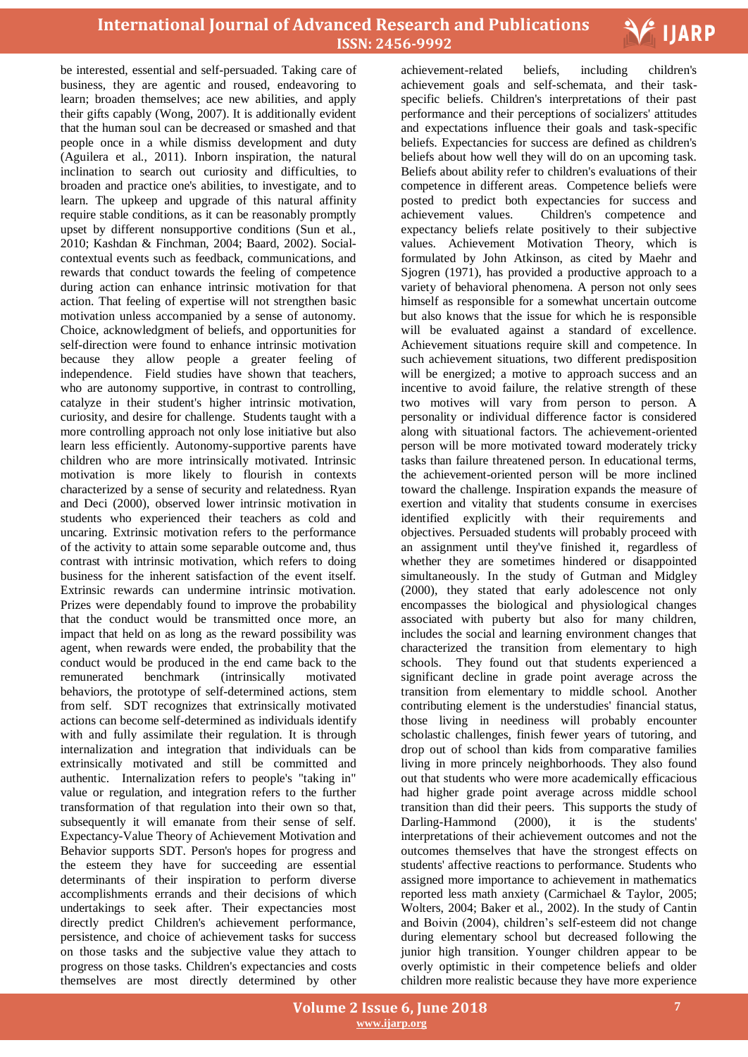

be interested, essential and self-persuaded. Taking care of business, they are agentic and roused, endeavoring to learn; broaden themselves; ace new abilities, and apply their gifts capably (Wong, 2007). It is additionally evident that the human soul can be decreased or smashed and that people once in a while dismiss development and duty (Aguilera et al., 2011). Inborn inspiration, the natural inclination to search out curiosity and difficulties, to broaden and practice one's abilities, to investigate, and to learn. The upkeep and upgrade of this natural affinity require stable conditions, as it can be reasonably promptly upset by different nonsupportive conditions (Sun et al., 2010; Kashdan & Finchman, 2004; Baard, 2002). Socialcontextual events such as feedback, communications, and rewards that conduct towards the feeling of competence during action can enhance intrinsic motivation for that action. That feeling of expertise will not strengthen basic motivation unless accompanied by a sense of autonomy. Choice, acknowledgment of beliefs, and opportunities for self-direction were found to enhance intrinsic motivation because they allow people a greater feeling of independence. Field studies have shown that teachers, who are autonomy supportive, in contrast to controlling, catalyze in their student's higher intrinsic motivation, curiosity, and desire for challenge. Students taught with a more controlling approach not only lose initiative but also learn less efficiently. Autonomy-supportive parents have children who are more intrinsically motivated. Intrinsic motivation is more likely to flourish in contexts characterized by a sense of security and relatedness. Ryan and Deci (2000), observed lower intrinsic motivation in students who experienced their teachers as cold and uncaring. Extrinsic motivation refers to the performance of the activity to attain some separable outcome and, thus contrast with intrinsic motivation, which refers to doing business for the inherent satisfaction of the event itself. Extrinsic rewards can undermine intrinsic motivation. Prizes were dependably found to improve the probability that the conduct would be transmitted once more, an impact that held on as long as the reward possibility was agent, when rewards were ended, the probability that the conduct would be produced in the end came back to the remunerated benchmark (intrinsically motivated behaviors, the prototype of self-determined actions, stem from self. SDT recognizes that extrinsically motivated actions can become self-determined as individuals identify with and fully assimilate their regulation. It is through internalization and integration that individuals can be extrinsically motivated and still be committed and authentic. Internalization refers to people's "taking in" value or regulation, and integration refers to the further transformation of that regulation into their own so that, subsequently it will emanate from their sense of self. Expectancy-Value Theory of Achievement Motivation and Behavior supports SDT. Person's hopes for progress and the esteem they have for succeeding are essential determinants of their inspiration to perform diverse accomplishments errands and their decisions of which undertakings to seek after. Their expectancies most directly predict Children's achievement performance, persistence, and choice of achievement tasks for success on those tasks and the subjective value they attach to progress on those tasks. Children's expectancies and costs themselves are most directly determined by other

including achievement-related beliefs, including children's achievement goals and self-schemata, and their taskspecific beliefs. Children's interpretations of their past performance and their perceptions of socializers' attitudes and expectations influence their goals and task-specific beliefs. Expectancies for success are defined as children's beliefs about how well they will do on an upcoming task. Beliefs about ability refer to children's evaluations of their competence in different areas. Competence beliefs were posted to predict both expectancies for success and achievement values. Children's competence and expectancy beliefs relate positively to their subjective values. Achievement Motivation Theory, which is formulated by John Atkinson, as cited by Maehr and Sjogren (1971), has provided a productive approach to a variety of behavioral phenomena. A person not only sees himself as responsible for a somewhat uncertain outcome but also knows that the issue for which he is responsible will be evaluated against a standard of excellence. Achievement situations require skill and competence. In such achievement situations, two different predisposition will be energized; a motive to approach success and an incentive to avoid failure, the relative strength of these two motives will vary from person to person. A personality or individual difference factor is considered along with situational factors. The achievement-oriented person will be more motivated toward moderately tricky tasks than failure threatened person. In educational terms, the achievement-oriented person will be more inclined toward the challenge. Inspiration expands the measure of exertion and vitality that students consume in exercises identified explicitly with their requirements and objectives. Persuaded students will probably proceed with an assignment until they've finished it, regardless of whether they are sometimes hindered or disappointed simultaneously. In the study of Gutman and Midgley (2000), they stated that early adolescence not only encompasses the biological and physiological changes associated with puberty but also for many children, includes the social and learning environment changes that characterized the transition from elementary to high schools. They found out that students experienced a significant decline in grade point average across the transition from elementary to middle school. Another contributing element is the understudies' financial status, those living in neediness will probably encounter scholastic challenges, finish fewer years of tutoring, and drop out of school than kids from comparative families living in more princely neighborhoods. They also found out that students who were more academically efficacious had higher grade point average across middle school transition than did their peers. This supports the study of Darling-Hammond (2000), it is the students' interpretations of their achievement outcomes and not the outcomes themselves that have the strongest effects on students' affective reactions to performance. Students who assigned more importance to achievement in mathematics reported less math anxiety (Carmichael & Taylor, 2005; Wolters, 2004; Baker et al., 2002). In the study of Cantin and Boivin (2004), children's self-esteem did not change during elementary school but decreased following the junior high transition. Younger children appear to be overly optimistic in their competence beliefs and older children more realistic because they have more experience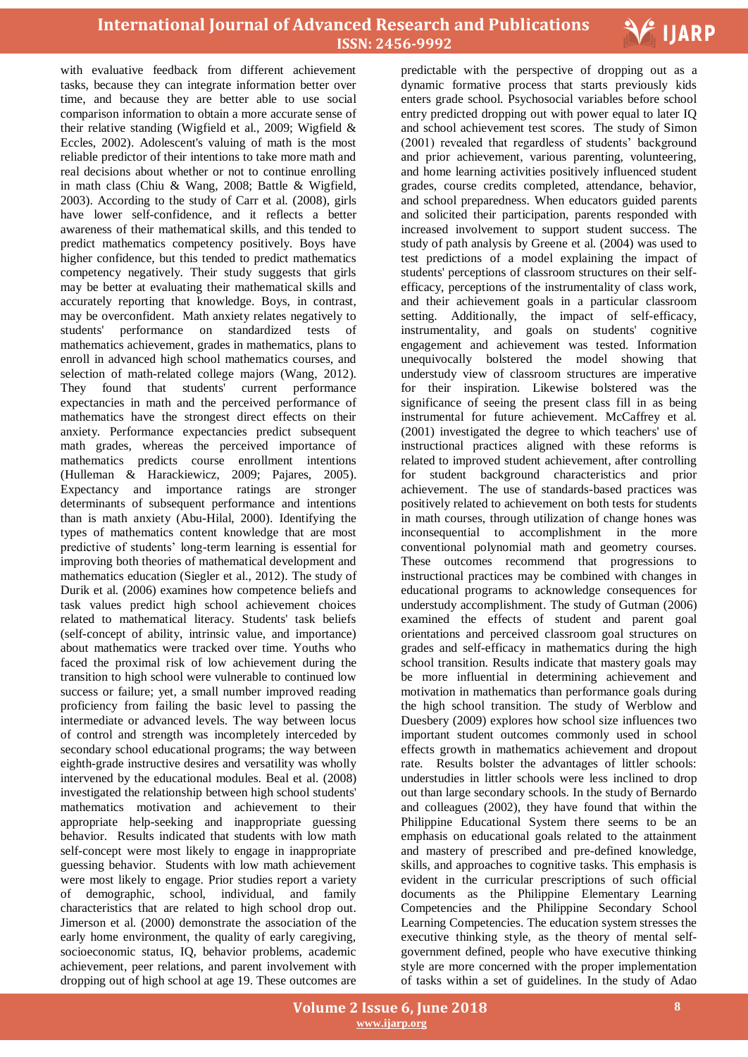

with evaluative feedback from different achievement tasks, because they can integrate information better over time, and because they are better able to use social comparison information to obtain a more accurate sense of their relative standing (Wigfield et al., 2009; Wigfield & Eccles, 2002). Adolescent's valuing of math is the most reliable predictor of their intentions to take more math and real decisions about whether or not to continue enrolling in math class (Chiu & Wang, 2008; Battle & Wigfield, 2003). According to the study of Carr et al. (2008), girls have lower self-confidence, and it reflects a better awareness of their mathematical skills, and this tended to predict mathematics competency positively. Boys have higher confidence, but this tended to predict mathematics competency negatively. Their study suggests that girls may be better at evaluating their mathematical skills and accurately reporting that knowledge. Boys, in contrast, may be overconfident. Math anxiety relates negatively to students' performance on standardized tests of mathematics achievement, grades in mathematics, plans to enroll in advanced high school mathematics courses, and selection of math-related college majors (Wang, 2012). They found that students' current performance expectancies in math and the perceived performance of mathematics have the strongest direct effects on their anxiety. Performance expectancies predict subsequent math grades, whereas the perceived importance of mathematics predicts course enrollment intentions (Hulleman & Harackiewicz, 2009; Pajares, 2005). Expectancy and importance ratings are stronger determinants of subsequent performance and intentions than is math anxiety (Abu-Hilal, 2000). Identifying the types of mathematics content knowledge that are most predictive of students' long-term learning is essential for improving both theories of mathematical development and mathematics education (Siegler et al., 2012). The study of Durik et al. (2006) examines how competence beliefs and task values predict high school achievement choices related to mathematical literacy. Students' task beliefs (self-concept of ability, intrinsic value, and importance) about mathematics were tracked over time. Youths who faced the proximal risk of low achievement during the transition to high school were vulnerable to continued low success or failure; yet, a small number improved reading proficiency from failing the basic level to passing the intermediate or advanced levels. The way between locus of control and strength was incompletely interceded by secondary school educational programs; the way between eighth-grade instructive desires and versatility was wholly intervened by the educational modules. Beal et al. (2008) investigated the relationship between high school students' mathematics motivation and achievement to their appropriate help-seeking and inappropriate guessing behavior. Results indicated that students with low math self-concept were most likely to engage in inappropriate guessing behavior. Students with low math achievement were most likely to engage. Prior studies report a variety of demographic, school, individual, and family characteristics that are related to high school drop out. Jimerson et al. (2000) demonstrate the association of the early home environment, the quality of early caregiving, socioeconomic status, IQ, behavior problems, academic achievement, peer relations, and parent involvement with dropping out of high school at age 19. These outcomes are

 predictable with the perspective of dropping out as a dynamic formative process that starts previously kids enters grade school. Psychosocial variables before school entry predicted dropping out with power equal to later IQ and school achievement test scores. The study of Simon (2001) revealed that regardless of students' background and prior achievement, various parenting, volunteering, and home learning activities positively influenced student grades, course credits completed, attendance, behavior, and school preparedness. When educators guided parents and solicited their participation, parents responded with increased involvement to support student success. The study of path analysis by Greene et al. (2004) was used to test predictions of a model explaining the impact of students' perceptions of classroom structures on their selfefficacy, perceptions of the instrumentality of class work, and their achievement goals in a particular classroom setting. Additionally, the impact of self-efficacy, instrumentality, and goals on students' cognitive engagement and achievement was tested. Information unequivocally bolstered the model showing that understudy view of classroom structures are imperative for their inspiration. Likewise bolstered was the significance of seeing the present class fill in as being instrumental for future achievement. McCaffrey et al. (2001) investigated the degree to which teachers' use of instructional practices aligned with these reforms is related to improved student achievement, after controlling for student background characteristics and prior achievement. The use of standards-based practices was positively related to achievement on both tests for students in math courses, through utilization of change hones was inconsequential to accomplishment in the more conventional polynomial math and geometry courses. These outcomes recommend that progressions to instructional practices may be combined with changes in educational programs to acknowledge consequences for understudy accomplishment. The study of Gutman (2006) examined the effects of student and parent goal orientations and perceived classroom goal structures on grades and self-efficacy in mathematics during the high school transition. Results indicate that mastery goals may be more influential in determining achievement and motivation in mathematics than performance goals during the high school transition. The study of Werblow and Duesbery (2009) explores how school size influences two important student outcomes commonly used in school effects growth in mathematics achievement and dropout rate. Results bolster the advantages of littler schools: understudies in littler schools were less inclined to drop out than large secondary schools. In the study of Bernardo and colleagues (2002), they have found that within the Philippine Educational System there seems to be an emphasis on educational goals related to the attainment and mastery of prescribed and pre-defined knowledge, skills, and approaches to cognitive tasks. This emphasis is evident in the curricular prescriptions of such official documents as the Philippine Elementary Learning Competencies and the Philippine Secondary School Learning Competencies. The education system stresses the executive thinking style, as the theory of mental selfgovernment defined, people who have executive thinking style are more concerned with the proper implementation of tasks within a set of guidelines. In the study of Adao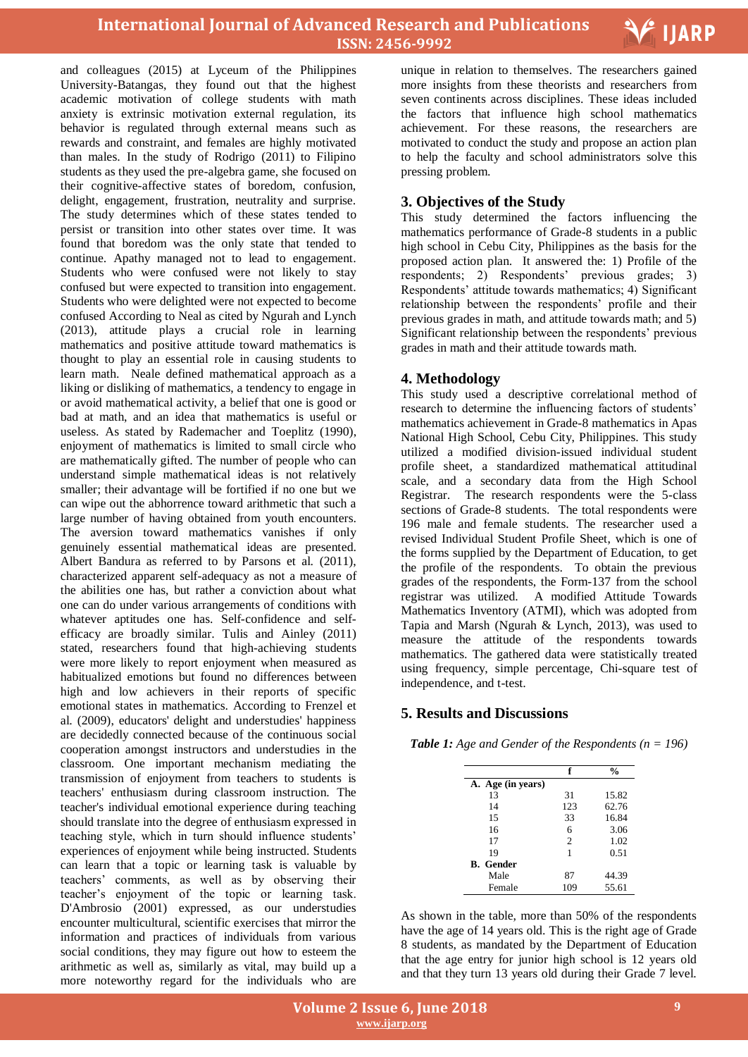

and colleagues (2015) at Lyceum of the Philippines University-Batangas, they found out that the highest academic motivation of college students with math anxiety is extrinsic motivation external regulation, its behavior is regulated through external means such as rewards and constraint, and females are highly motivated than males. In the study of Rodrigo (2011) to Filipino students as they used the pre-algebra game, she focused on their cognitive-affective states of boredom, confusion, delight, engagement, frustration, neutrality and surprise. The study determines which of these states tended to persist or transition into other states over time. It was found that boredom was the only state that tended to continue. Apathy managed not to lead to engagement. Students who were confused were not likely to stay confused but were expected to transition into engagement. Students who were delighted were not expected to become confused According to Neal as cited by Ngurah and Lynch (2013), attitude plays a crucial role in learning mathematics and positive attitude toward mathematics is thought to play an essential role in causing students to learn math. Neale defined mathematical approach as a liking or disliking of mathematics, a tendency to engage in or avoid mathematical activity, a belief that one is good or bad at math, and an idea that mathematics is useful or useless. As stated by Rademacher and Toeplitz (1990), enjoyment of mathematics is limited to small circle who are mathematically gifted. The number of people who can understand simple mathematical ideas is not relatively smaller; their advantage will be fortified if no one but we can wipe out the abhorrence toward arithmetic that such a large number of having obtained from youth encounters. The aversion toward mathematics vanishes if only genuinely essential mathematical ideas are presented. Albert Bandura as referred to by Parsons et al. (2011), characterized apparent self-adequacy as not a measure of the abilities one has, but rather a conviction about what one can do under various arrangements of conditions with whatever aptitudes one has. Self-confidence and selfefficacy are broadly similar. Tulis and Ainley (2011) stated, researchers found that high-achieving students were more likely to report enjoyment when measured as habitualized emotions but found no differences between high and low achievers in their reports of specific emotional states in mathematics. According to Frenzel et al. (2009), educators' delight and understudies' happiness are decidedly connected because of the continuous social cooperation amongst instructors and understudies in the classroom. One important mechanism mediating the transmission of enjoyment from teachers to students is teachers' enthusiasm during classroom instruction. The teacher's individual emotional experience during teaching should translate into the degree of enthusiasm expressed in teaching style, which in turn should influence students' experiences of enjoyment while being instructed. Students can learn that a topic or learning task is valuable by teachers' comments, as well as by observing their teacher's enjoyment of the topic or learning task. D'Ambrosio (2001) expressed, as our understudies encounter multicultural, scientific exercises that mirror the information and practices of individuals from various social conditions, they may figure out how to esteem the arithmetic as well as, similarly as vital, may build up a more noteworthy regard for the individuals who are

 unique in relation to themselves. The researchers gained more insights from these theorists and researchers from seven continents across disciplines. These ideas included the factors that influence high school mathematics achievement. For these reasons, the researchers are motivated to conduct the study and propose an action plan to help the faculty and school administrators solve this pressing problem.

## **3. Objectives of the Study**

This study determined the factors influencing the mathematics performance of Grade-8 students in a public high school in Cebu City, Philippines as the basis for the proposed action plan. It answered the: 1) Profile of the respondents; 2) Respondents' previous grades; 3) Respondents' attitude towards mathematics; 4) Significant relationship between the respondents' profile and their previous grades in math, and attitude towards math; and 5) Significant relationship between the respondents' previous grades in math and their attitude towards math.

## **4. Methodology**

This study used a descriptive correlational method of research to determine the influencing factors of students' mathematics achievement in Grade-8 mathematics in Apas National High School, Cebu City, Philippines. This study utilized a modified division-issued individual student profile sheet, a standardized mathematical attitudinal scale, and a secondary data from the High School Registrar. The research respondents were the 5-class sections of Grade-8 students. The total respondents were 196 male and female students. The researcher used a revised Individual Student Profile Sheet, which is one of the forms supplied by the Department of Education, to get the profile of the respondents. To obtain the previous grades of the respondents, the Form-137 from the school registrar was utilized. A modified Attitude Towards Mathematics Inventory (ATMI), which was adopted from Tapia and Marsh (Ngurah & Lynch, 2013), was used to measure the attitude of the respondents towards mathematics. The gathered data were statistically treated using frequency, simple percentage, Chi-square test of independence, and t-test.

## **5. Results and Discussions**

*Table 1: Age and Gender of the Respondents (n = 196)*

|                   | f              | $\mathbf{0}_{\mathbf{0}}^{\prime}$ |
|-------------------|----------------|------------------------------------|
| A. Age (in years) |                |                                    |
| 13                | 31             | 15.82                              |
| 14                | 123            | 62.76                              |
| 15                | 33             | 16.84                              |
| 16                | 6              | 3.06                               |
| 17                | $\overline{c}$ | 1.02                               |
| 19                | 1              | 0.51                               |
| <b>B.</b> Gender  |                |                                    |
| Male              | 87             | 44.39                              |
| Female            | 109            | 55.61                              |

As shown in the table, more than 50% of the respondents have the age of 14 years old. This is the right age of Grade 8 students, as mandated by the Department of Education that the age entry for junior high school is 12 years old and that they turn 13 years old during their Grade 7 level.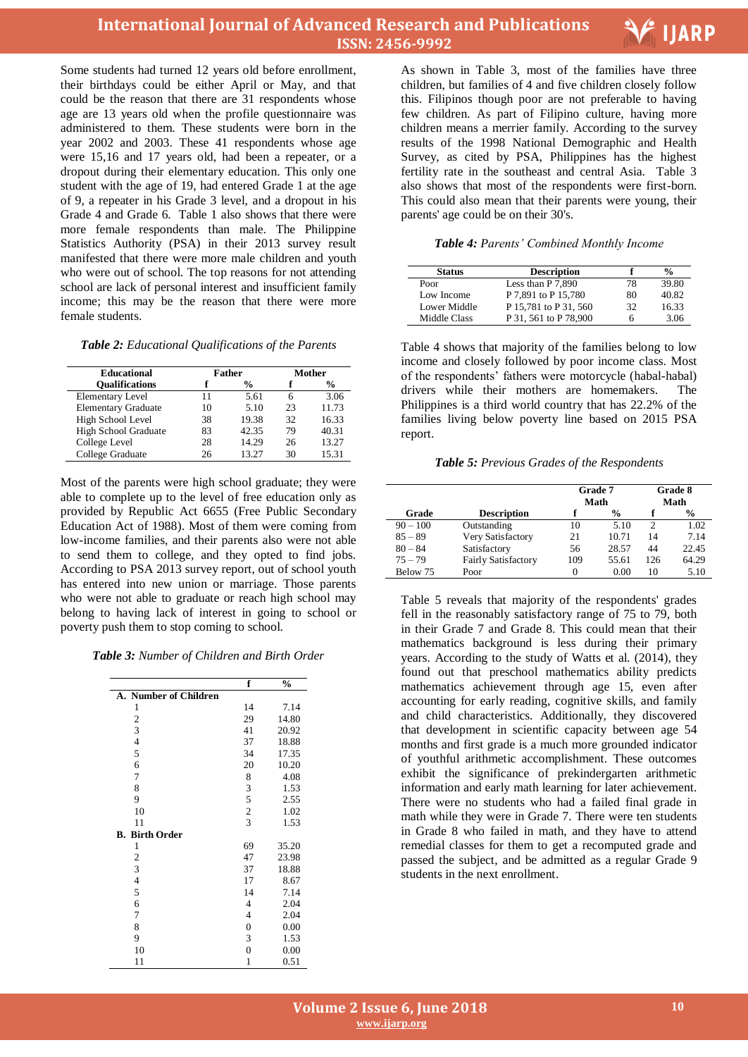



Some students had turned 12 years old before enrollment, their birthdays could be either April or May, and that could be the reason that there are 31 respondents whose age are 13 years old when the profile questionnaire was administered to them. These students were born in the year 2002 and 2003. These 41 respondents whose age were 15,16 and 17 years old, had been a repeater, or a dropout during their elementary education. This only one student with the age of 19, had entered Grade 1 at the age of 9, a repeater in his Grade 3 level, and a dropout in his Grade 4 and Grade 6. Table 1 also shows that there were more female respondents than male. The Philippine Statistics Authority (PSA) in their 2013 survey result manifested that there were more male children and youth who were out of school. The top reasons for not attending school are lack of personal interest and insufficient family income; this may be the reason that there were more female students.

#### *Table 2: Educational Qualifications of the Parents*

| <b>Educational</b>         |    | <b>Father</b> |    | Mother |
|----------------------------|----|---------------|----|--------|
| <b>Oualifications</b>      |    | %             |    | %      |
| <b>Elementary Level</b>    | 11 | 5.61          | 6  | 3.06   |
| <b>Elementary Graduate</b> | 10 | 5.10          | 23 | 11.73  |
| High School Level          | 38 | 19.38         | 32 | 16.33  |
| High School Graduate       | 83 | 42.35         | 79 | 40.31  |
| College Level              | 28 | 14.29         | 26 | 13.27  |
| College Graduate           | 26 | 13.27         | 30 | 15.31  |

Most of the parents were high school graduate; they were able to complete up to the level of free education only as provided by Republic Act 6655 (Free Public Secondary Education Act of 1988). Most of them were coming from low-income families, and their parents also were not able to send them to college, and they opted to find jobs. According to PSA 2013 survey report, out of school youth has entered into new union or marriage. Those parents who were not able to graduate or reach high school may belong to having lack of interest in going to school or poverty push them to stop coming to school.

*Table 3: Number of Children and Birth Order*

|                          | f                | $\frac{0}{0}$ |
|--------------------------|------------------|---------------|
| A. Number of Children    |                  |               |
| 1                        | 14               | 7.14          |
| $\overline{\mathbf{c}}$  | 29               | 14.80         |
| 3                        | 41               | 20.92         |
| $\overline{\mathbf{4}}$  | 37               | 18.88         |
| 5                        | 34               | 17.35         |
| 6                        | 20               | 10.20         |
| $\boldsymbol{7}$         | 8                | 4.08          |
| 8                        |                  | 1.53          |
| 9                        | $\frac{3}{5}$    | 2.55          |
| 10                       | $\overline{c}$   | 1.02          |
| 11                       | $\overline{3}$   | 1.53          |
| <b>Birth Order</b><br>В. |                  |               |
| 1                        | 69               | 35.20         |
| $\overline{\mathbf{c}}$  | 47               | 23.98         |
| 3                        | 37               | 18.88         |
| $\overline{4}$           | 17               | 8.67          |
| 5                        | 14               | 7.14          |
| 6                        | $\overline{4}$   | 2.04          |
| 7                        | 4                | 2.04          |
| 8                        | $\boldsymbol{0}$ | 0.00          |
| 9                        | 3                | 1.53          |
| 10                       | $\overline{0}$   | 0.00          |
| 11                       | $\mathbf{1}$     | 0.51          |

 As shown in Table 3, most of the families have three children, but families of 4 and five children closely follow this. Filipinos though poor are not preferable to having few children. As part of Filipino culture, having more children means a merrier family. According to the survey results of the 1998 National Demographic and Health Survey, as cited by PSA, Philippines has the highest fertility rate in the southeast and central Asia. Table 3 also shows that most of the respondents were first-born. This could also mean that their parents were young, their parents' age could be on their 30's.

#### *Table 4: Parents' Combined Monthly Income*

| <b>Status</b> | <b>Description</b>    |    | %     |
|---------------|-----------------------|----|-------|
| Poor          | Less than $P$ 7.890   | 78 | 39.80 |
| Low Income    | P 7.891 to P 15.780   | 80 | 40.82 |
| Lower Middle  | P 15.781 to P 31, 560 | 32 | 16.33 |
| Middle Class  | P 31, 561 to P 78,900 |    | 3.06  |

Table 4 shows that majority of the families belong to low income and closely followed by poor income class. Most of the respondents' fathers were motorcycle (habal-habal) drivers while their mothers are homemakers. The Philippines is a third world country that has 22.2% of the families living below poverty line based on 2015 PSA report.

*Table 5: Previous Grades of the Respondents*

|            |                            | Grade 7<br>Math |               |     | Grade 8<br>Math |
|------------|----------------------------|-----------------|---------------|-----|-----------------|
| Grade      | <b>Description</b>         |                 | $\frac{0}{0}$ |     | %               |
| $90 - 100$ | Outstanding                | 10              | 5.10          | 2   | 1.02            |
| $85 - 89$  | Very Satisfactory          | 21              | 10.71         | 14  | 7.14            |
| $80 - 84$  | Satisfactory               | 56              | 28.57         | 44  | 22.45           |
| $75 - 79$  | <b>Fairly Satisfactory</b> | 109             | 55.61         | 126 | 64.29           |
| Below 75   | Poor                       |                 | 0.00          | 10  | 5.10            |

Table 5 reveals that majority of the respondents' grades fell in the reasonably satisfactory range of 75 to 79, both in their Grade 7 and Grade 8. This could mean that their mathematics background is less during their primary years. According to the study of Watts et al. (2014), they found out that preschool mathematics ability predicts mathematics achievement through age 15, even after accounting for early reading, cognitive skills, and family and child characteristics. Additionally, they discovered that development in scientific capacity between age 54 months and first grade is a much more grounded indicator of youthful arithmetic accomplishment. These outcomes exhibit the significance of prekindergarten arithmetic information and early math learning for later achievement. There were no students who had a failed final grade in math while they were in Grade 7. There were ten students in Grade 8 who failed in math, and they have to attend remedial classes for them to get a recomputed grade and passed the subject, and be admitted as a regular Grade 9 students in the next enrollment.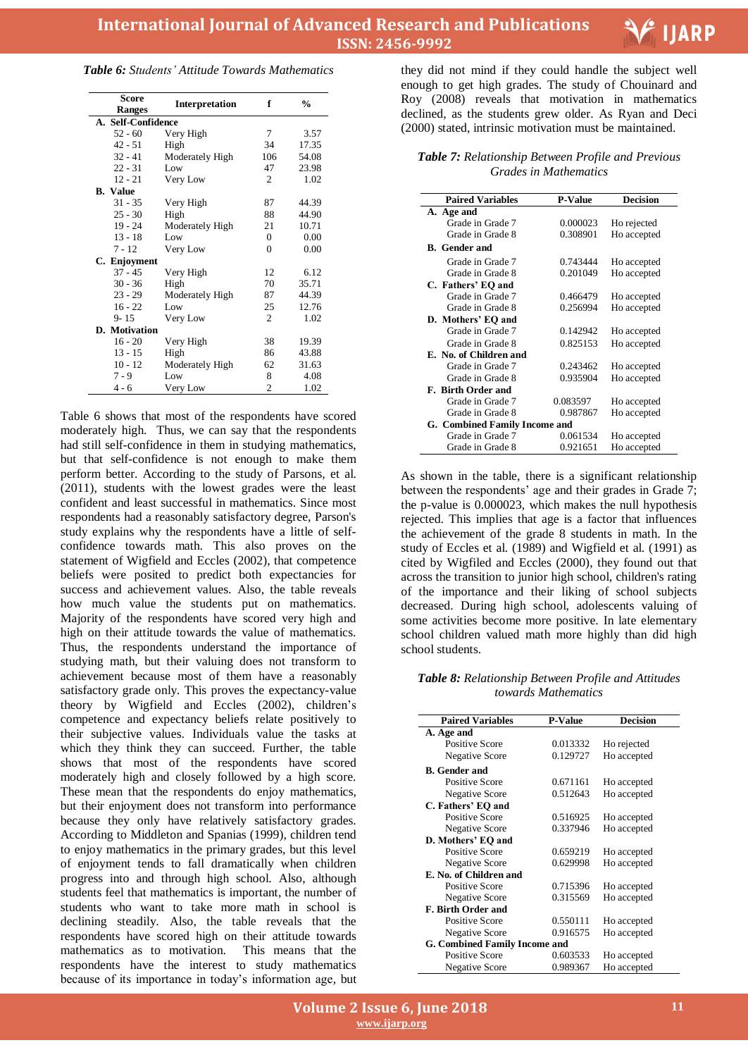

| <b>Table 6:</b> Students' Attitude Towards Mathematics |  |  |  |
|--------------------------------------------------------|--|--|--|
|--------------------------------------------------------|--|--|--|

| <b>Score</b><br><b>Ranges</b> | <b>Interpretation</b> | f              | $\frac{0}{0}$ |
|-------------------------------|-----------------------|----------------|---------------|
| A. Self-Confidence            |                       |                |               |
| $52 - 60$                     | Very High             | 7              | 3.57          |
| 42 - 51                       | High                  | 34             | 17.35         |
| $32 - 41$                     | Moderately High       | 106            | 54.08         |
| $22 - 31$                     | Low                   | 47             | 23.98         |
| $12 - 21$                     | Very Low              | $\overline{c}$ | 1.02          |
| <b>B.</b> Value               |                       |                |               |
| $31 - 35$                     | Very High             | 87             | 44.39         |
| $25 - 30$                     | High                  | 88             | 44.90         |
| $19 - 24$                     | Moderately High       | 21             | 10.71         |
| $13 - 18$                     | Low                   | 0              | 0.00          |
| $7 - 12$                      | Very Low              | $\theta$       | 0.00          |
| C. Enjoyment                  |                       |                |               |
| $37 - 45$                     | Very High             | 12             | 6.12          |
| $30 - 36$                     | High                  | 70             | 35.71         |
| $23 - 29$                     | Moderately High       | 87             | 44.39         |
| $16 - 22$                     | Low                   | 25             | 12.76         |
| $9 - 15$                      | Very Low              | $\overline{c}$ | 1.02          |
| D. Motivation                 |                       |                |               |
| $16 - 20$                     | Very High             | 38             | 19.39         |
| $13 - 15$                     | High                  | 86             | 43.88         |
| $10 - 12$                     | Moderately High       | 62             | 31.63         |
| $7 - 9$                       | Low                   | 8              | 4.08          |
| 4 - 6                         | Very Low              | $\overline{c}$ | 1.02          |

Table 6 shows that most of the respondents have scored moderately high. Thus, we can say that the respondents had still self-confidence in them in studying mathematics, but that self-confidence is not enough to make them perform better. According to the study of Parsons, et al. (2011), students with the lowest grades were the least confident and least successful in mathematics. Since most respondents had a reasonably satisfactory degree, Parson's study explains why the respondents have a little of selfconfidence towards math. This also proves on the statement of Wigfield and Eccles (2002), that competence beliefs were posited to predict both expectancies for success and achievement values. Also, the table reveals how much value the students put on mathematics. Majority of the respondents have scored very high and high on their attitude towards the value of mathematics. Thus, the respondents understand the importance of studying math, but their valuing does not transform to achievement because most of them have a reasonably satisfactory grade only. This proves the expectancy-value theory by Wigfield and Eccles (2002), children's competence and expectancy beliefs relate positively to their subjective values. Individuals value the tasks at which they think they can succeed. Further, the table shows that most of the respondents have scored moderately high and closely followed by a high score. These mean that the respondents do enjoy mathematics, but their enjoyment does not transform into performance because they only have relatively satisfactory grades. According to Middleton and Spanias (1999), children tend to enjoy mathematics in the primary grades, but this level of enjoyment tends to fall dramatically when children progress into and through high school. Also, although students feel that mathematics is important, the number of students who want to take more math in school is declining steadily. Also, the table reveals that the respondents have scored high on their attitude towards mathematics as to motivation. This means that the respondents have the interest to study mathematics because of its importance in today's information age, but

 they did not mind if they could handle the subject well enough to get high grades. The study of Chouinard and Roy (2008) reveals that motivation in mathematics declined, as the students grew older. As Ryan and Deci (2000) stated, intrinsic motivation must be maintained.

*Table 7: Relationship Between Profile and Previous Grades in Mathematics*

| <b>Paired Variables</b>       | <b>P-Value</b> | <b>Decision</b> |
|-------------------------------|----------------|-----------------|
| A. Age and                    |                |                 |
| Grade in Grade 7              | 0.000023       | Ho rejected     |
| Grade in Grade 8              | 0.308901       | Ho accepted     |
| <b>B.</b> Gender and          |                |                 |
| Grade in Grade 7              | 0.743444       | Ho accepted     |
| Grade in Grade 8              | 0.201049       | Ho accepted     |
| C. Fathers' EO and            |                |                 |
| Grade in Grade 7              | 0.466479       | Ho accepted     |
| Grade in Grade 8              | 0.256994       | Ho accepted     |
| D. Mothers' EO and            |                |                 |
| Grade in Grade 7              | 0.142942       | Ho accepted     |
| Grade in Grade 8              | 0.825153       | Ho accepted     |
| E. No. of Children and        |                |                 |
| Grade in Grade 7              | 0.243462       | Ho accepted     |
| Grade in Grade 8              | 0.935904       | Ho accepted     |
| F. Birth Order and            |                |                 |
| Grade in Grade 7              | 0.083597       | Ho accepted     |
| Grade in Grade 8              | 0.987867       | Ho accepted     |
| G. Combined Family Income and |                |                 |
| Grade in Grade 7              | 0.061534       | Ho accepted     |
| Grade in Grade 8              | 0.921651       | Ho accepted     |

As shown in the table, there is a significant relationship between the respondents' age and their grades in Grade 7; the p-value is 0.000023, which makes the null hypothesis rejected. This implies that age is a factor that influences the achievement of the grade 8 students in math. In the study of Eccles et al. (1989) and Wigfield et al. (1991) as cited by Wigfiled and Eccles (2000), they found out that across the transition to junior high school, children's rating of the importance and their liking of school subjects decreased. During high school, adolescents valuing of some activities become more positive. In late elementary school children valued math more highly than did high school students.

*Table 8: Relationship Between Profile and Attitudes towards Mathematics*

| <b>Paired Variables</b>       | <b>P-Value</b> | Decision    |  |  |  |
|-------------------------------|----------------|-------------|--|--|--|
| A. Age and                    |                |             |  |  |  |
| <b>Positive Score</b>         | 0.013332       | Ho rejected |  |  |  |
| <b>Negative Score</b>         | 0.129727       | Ho accepted |  |  |  |
| <b>B.</b> Gender and          |                |             |  |  |  |
| Positive Score                | 0.671161       | Ho accepted |  |  |  |
| <b>Negative Score</b>         | 0.512643       | Ho accepted |  |  |  |
| C. Fathers' EO and            |                |             |  |  |  |
| Positive Score                | 0.516925       | Ho accepted |  |  |  |
| <b>Negative Score</b>         | 0.337946       | Ho accepted |  |  |  |
| D. Mothers' EO and            |                |             |  |  |  |
| Positive Score                | 0.659219       | Ho accepted |  |  |  |
| <b>Negative Score</b>         | 0.629998       | Ho accepted |  |  |  |
| E. No. of Children and        |                |             |  |  |  |
| Positive Score                | 0.715396       | Ho accepted |  |  |  |
| <b>Negative Score</b>         | 0.315569       | Ho accepted |  |  |  |
| <b>F. Birth Order and</b>     |                |             |  |  |  |
| Positive Score                | 0.550111       | Ho accepted |  |  |  |
| <b>Negative Score</b>         | 0.916575       | Ho accepted |  |  |  |
| G. Combined Family Income and |                |             |  |  |  |
| Positive Score                | 0.603533       | Ho accepted |  |  |  |
| <b>Negative Score</b>         | 0.989367       | Ho accepted |  |  |  |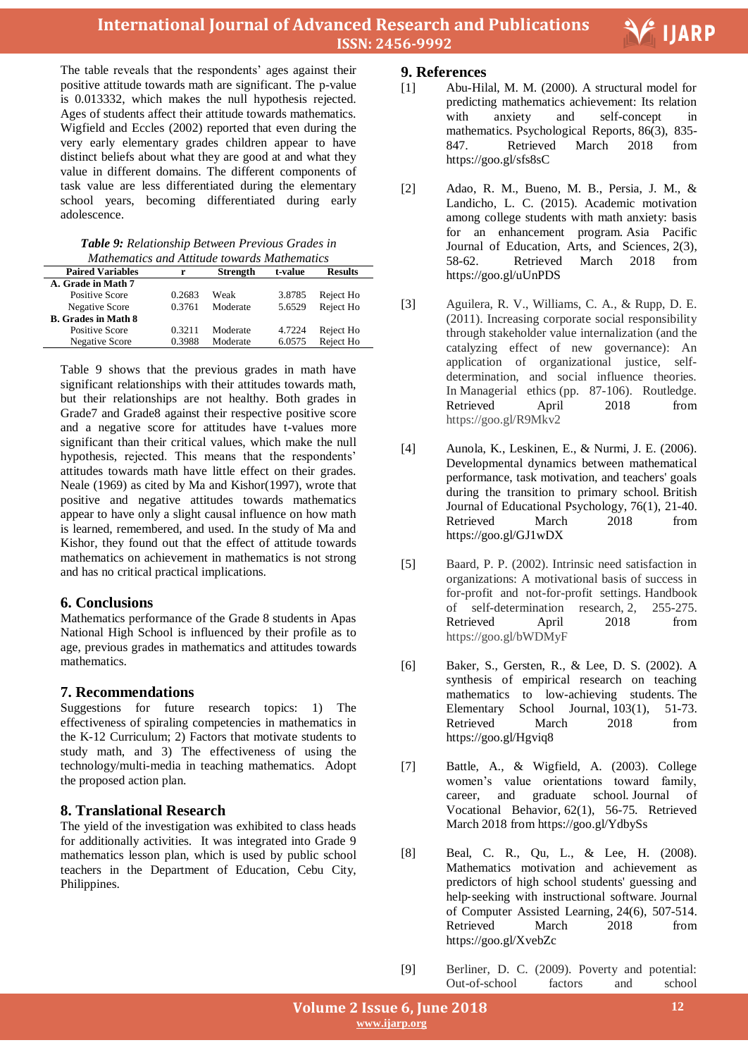The table reveals that the respondents' ages against their positive attitude towards math are significant. The p-value is 0.013332, which makes the null hypothesis rejected. Ages of students affect their attitude towards mathematics. Wigfield and Eccles (2002) reported that even during the very early elementary grades children appear to have distinct beliefs about what they are good at and what they value in different domains. The different components of task value are less differentiated during the elementary school years, becoming differentiated during early adolescence.

| Table 9: Relationship Between Previous Grades in |  |
|--------------------------------------------------|--|
| Mathematics and Attitude towards Mathematics     |  |

| manemants and manade fowards manemants |        |                 |         |                |  |
|----------------------------------------|--------|-----------------|---------|----------------|--|
| <b>Paired Variables</b>                | r      | <b>Strength</b> | t-value | <b>Results</b> |  |
| A. Grade in Math 7                     |        |                 |         |                |  |
| Positive Score                         | 0.2683 | Weak            | 3.8785  | Reject Ho      |  |
| Negative Score                         | 0.3761 | Moderate        | 5.6529  | Reject Ho      |  |
| <b>B.</b> Grades in Math 8             |        |                 |         |                |  |
| <b>Positive Score</b>                  | 0.3211 | Moderate        | 4.7224  | Reject Ho      |  |
| <b>Negative Score</b>                  | 0.3988 | Moderate        | 6.0575  | Reject Ho      |  |
|                                        |        |                 |         |                |  |

Table 9 shows that the previous grades in math have significant relationships with their attitudes towards math, but their relationships are not healthy. Both grades in Grade7 and Grade8 against their respective positive score and a negative score for attitudes have t-values more significant than their critical values, which make the null hypothesis, rejected. This means that the respondents' attitudes towards math have little effect on their grades. Neale (1969) as cited by Ma and Kishor(1997), wrote that positive and negative attitudes towards mathematics appear to have only a slight causal influence on how math is learned, remembered, and used. In the study of Ma and Kishor, they found out that the effect of attitude towards mathematics on achievement in mathematics is not strong and has no critical practical implications.

## **6. Conclusions**

Mathematics performance of the Grade 8 students in Apas National High School is influenced by their profile as to age, previous grades in mathematics and attitudes towards mathematics.

# **7. Recommendations**

Suggestions for future research topics: 1) The effectiveness of spiraling competencies in mathematics in the K-12 Curriculum; 2) Factors that motivate students to study math, and 3) The effectiveness of using the technology/multi-media in teaching mathematics. Adopt the proposed action plan.

# **8. Translational Research**

The yield of the investigation was exhibited to class heads for additionally activities. It was integrated into Grade 9 mathematics lesson plan, which is used by public school teachers in the Department of Education, Cebu City, Philippines.

# **9. References**

[1] Abu-Hilal, M. M. (2000). A structural model for predicting mathematics achievement: Its relation with anxiety and self-concept in mathematics. Psychological Reports, 86(3), 835- 847. Retrieved March 2018 from https://goo.gl/sfs8sC

- [2] Adao, R. M., Bueno, M. B., Persia, J. M., & Landicho, L. C. (2015). Academic motivation among college students with math anxiety: basis for an enhancement program. Asia Pacific Journal of Education, Arts, and Sciences, 2(3), 58-62. Retrieved March 2018 from https://goo.gl/uUnPDS
- [3] Aguilera, R. V., Williams, C. A., & Rupp, D. E. (2011). Increasing corporate social responsibility through stakeholder value internalization (and the catalyzing effect of new governance): An application of organizational justice, selfdetermination, and social influence theories. In Managerial ethics (pp. 87-106). Routledge. Retrieved April 2018 from https://goo.gl/R9Mkv2
- [4] Aunola, K., Leskinen, E., & Nurmi, J. E. (2006). Developmental dynamics between mathematical performance, task motivation, and teachers' goals during the transition to primary school. British Journal of Educational Psychology, 76(1), 21-40. Retrieved March 2018 from https://goo.gl/GJ1wDX
- [5] Baard, P. P. (2002). Intrinsic need satisfaction in organizations: A motivational basis of success in for-profit and not-for-profit settings. Handbook of self-determination research, 2, 255-275.<br>Retrieved April 2018 from Retrieved April 2018 from https://goo.gl/bWDMyF
- [6] Baker, S., Gersten, R., & Lee, D. S. (2002). A synthesis of empirical research on teaching mathematics to low-achieving students. The Elementary School Journal, 103(1), 51-73. Retrieved March 2018 from https://goo.gl/Hgviq8
- [7] Battle, A., & Wigfield, A. (2003). College women's value orientations toward family, career, and graduate school. Journal of Vocational Behavior, 62(1), 56-75. Retrieved March 2018 from https://goo.gl/YdbySs
- [8] Beal, C. R., Qu, L., & Lee, H. (2008). Mathematics motivation and achievement as predictors of high school students' guessing and help‐seeking with instructional software. Journal of Computer Assisted Learning, 24(6), 507-514. Retrieved March 2018 from https://goo.gl/XvebZc
- [9] Berliner, D. C. (2009). Poverty and potential: Out-of-school factors and school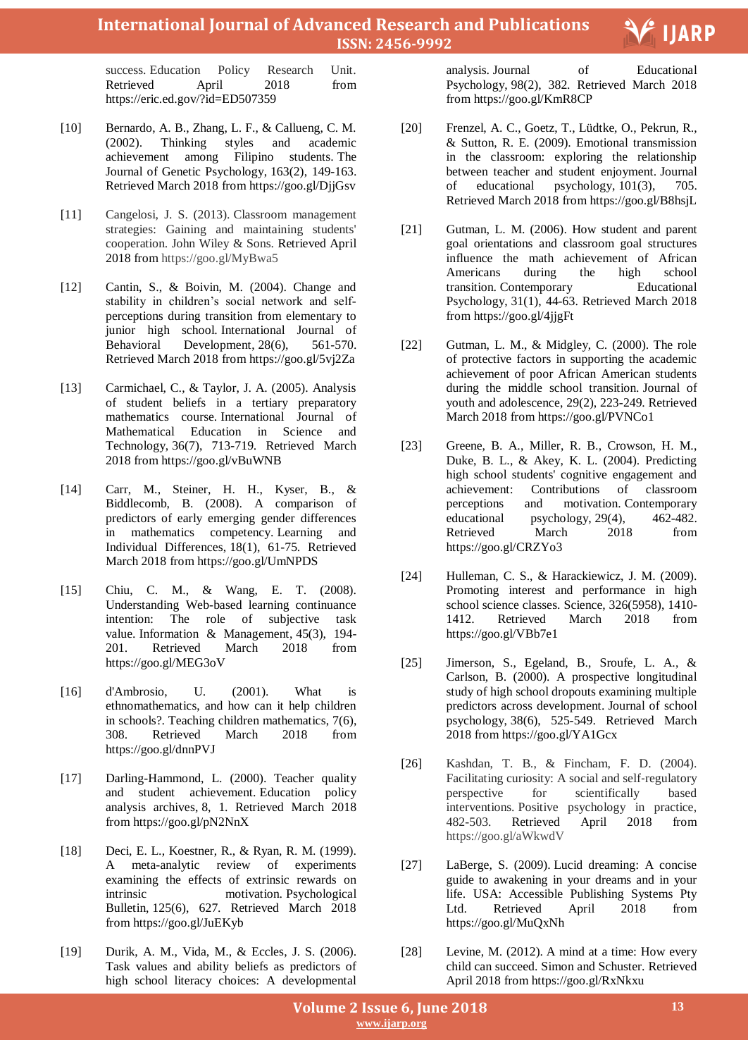success. Education Policy Research Unit. Retrieved April 2018 from https://eric.ed.gov/?id=ED507359

- [10] Bernardo, A. B., Zhang, L. F., & Callueng, C. M. (2002). Thinking styles and academic achievement among Filipino students. The Journal of Genetic Psychology, 163(2), 149-163. Retrieved March 2018 from https://goo.gl/DjjGsv
- [11] Cangelosi, J. S. (2013). Classroom management strategies: Gaining and maintaining students' cooperation. John Wiley & Sons. Retrieved April 2018 from https://goo.gl/MyBwa5
- [12] Cantin, S., & Boivin, M. (2004). Change and stability in children's social network and selfperceptions during transition from elementary to junior high school. International Journal of Behavioral Development, 28(6), 561-570. Retrieved March 2018 from https://goo.gl/5vj2Za
- [13] Carmichael, C., & Taylor, J. A. (2005). Analysis of student beliefs in a tertiary preparatory mathematics course. International Journal of Mathematical Education in Science and Technology, 36(7), 713-719. Retrieved March 2018 from https://goo.gl/vBuWNB
- [14] Carr, M., Steiner, H. H., Kyser, B., & Biddlecomb, B. (2008). A comparison of predictors of early emerging gender differences in mathematics competency. Learning and Individual Differences, 18(1), 61-75. Retrieved March 2018 from https://goo.gl/UmNPDS
- [15] Chiu, C. M., & Wang, E. T. (2008). Understanding Web-based learning continuance intention: The role of subjective task value. Information & Management, 45(3), 194- 201. Retrieved March 2018 from https://goo.gl/MEG3oV
- [16] d'Ambrosio, U. (2001). What is ethnomathematics, and how can it help children in schools?. Teaching children mathematics, 7(6), 308. Retrieved March 2018 from https://goo.gl/dnnPVJ
- [17] Darling-Hammond, L. (2000). Teacher quality and student achievement. Education policy analysis archives, 8, 1. Retrieved March 2018 from https://goo.gl/pN2NnX
- [18] Deci, E. L., Koestner, R., & Ryan, R. M. (1999). A meta-analytic review of experiments examining the effects of extrinsic rewards on intrinsic motivation. Psychological Bulletin, 125(6), 627. Retrieved March 2018 from https://goo.gl/JuEKyb
- [19] Durik, A. M., Vida, M., & Eccles, J. S. (2006). Task values and ability beliefs as predictors of high school literacy choices: A developmental

 analysis. Journal of Educational Psychology, 98(2), 382. Retrieved March 2018 from https://goo.gl/KmR8CP

- [20] Frenzel, A. C., Goetz, T., Lüdtke, O., Pekrun, R., & Sutton, R. E. (2009). Emotional transmission in the classroom: exploring the relationship between teacher and student enjoyment. Journal of educational psychology, 101(3), 705. Retrieved March 2018 from https://goo.gl/B8hsjL
- [21] Gutman, L. M. (2006). How student and parent goal orientations and classroom goal structures influence the math achievement of African Americans during the high school transition. Contemporary Educational Psychology, 31(1), 44-63. Retrieved March 2018 from https://goo.gl/4jjgFt
- [22] Gutman, L. M., & Midgley, C. (2000). The role of protective factors in supporting the academic achievement of poor African American students during the middle school transition. Journal of youth and adolescence, 29(2), 223-249. Retrieved March 2018 from https://goo.gl/PVNCo1
- [23] Greene, B. A., Miller, R. B., Crowson, H. M., Duke, B. L., & Akey, K. L. (2004). Predicting high school students' cognitive engagement and achievement: Contributions of classroom perceptions and motivation. Contemporary educational psychology, 29(4), 462-482. Retrieved March 2018 from https://goo.gl/CRZYo3
- [24] Hulleman, C. S., & Harackiewicz, J. M. (2009). Promoting interest and performance in high school science classes. Science, 326(5958), 1410- 1412. Retrieved March 2018 from https://goo.gl/VBb7e1
- [25] Jimerson, S., Egeland, B., Sroufe, L. A., & Carlson, B. (2000). A prospective longitudinal study of high school dropouts examining multiple predictors across development. Journal of school psychology, 38(6), 525-549. Retrieved March 2018 from https://goo.gl/YA1Gcx
- [26] Kashdan, T. B., & Fincham, F. D. (2004). Facilitating curiosity: A social and self‐regulatory perspective for scientifically based interventions. Positive psychology in practice, 482-503. Retrieved April 2018 from https://goo.gl/aWkwdV
- [27] LaBerge, S. (2009). Lucid dreaming: A concise guide to awakening in your dreams and in your life. USA: Accessible Publishing Systems Pty Ltd. Retrieved April 2018 from https://goo.gl/MuQxNh
- [28] Levine, M. (2012). A mind at a time: How every child can succeed. Simon and Schuster. Retrieved April 2018 from https://goo.gl/RxNkxu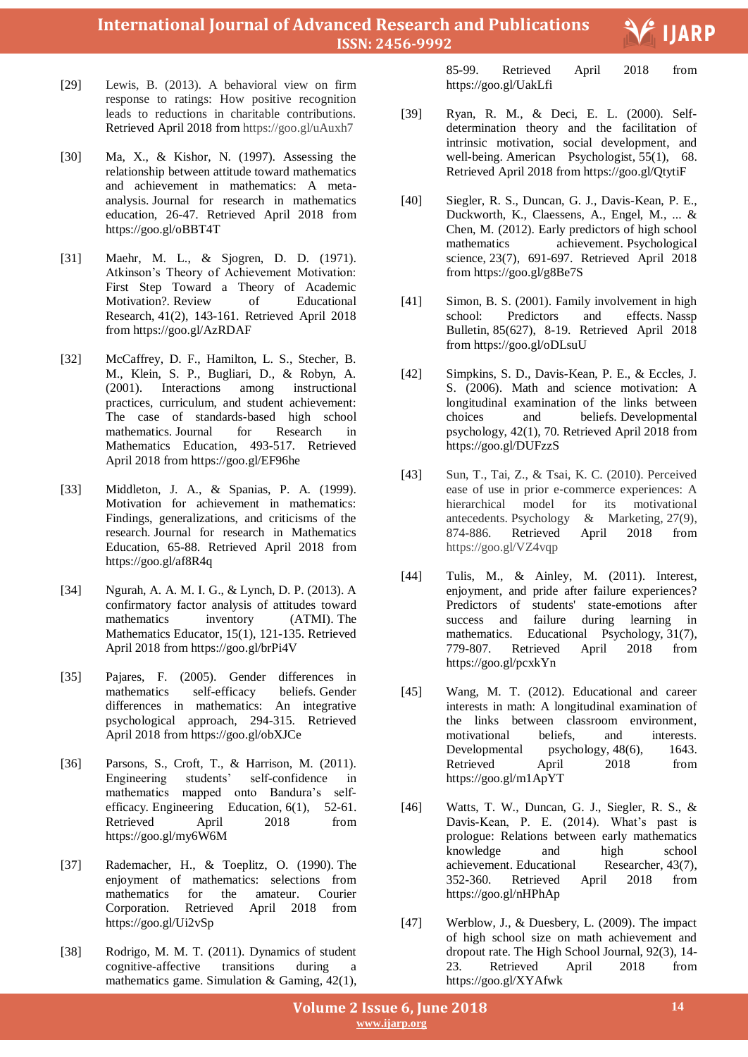- [29] Lewis, B. (2013). A behavioral view on firm response to ratings: How positive recognition leads to reductions in charitable contributions. Retrieved April 2018 from https://goo.gl/uAuxh7
- [30] Ma, X., & Kishor, N. (1997). Assessing the relationship between attitude toward mathematics and achievement in mathematics: A metaanalysis. Journal for research in mathematics education, 26-47. Retrieved April 2018 from https://goo.gl/oBBT4T
- [31] Maehr, M. L., & Sjogren, D. D. (1971). Atkinson's Theory of Achievement Motivation: First Step Toward a Theory of Academic Motivation?. Review of Educational Research, 41(2), 143-161. Retrieved April 2018 from https://goo.gl/AzRDAF
- [32] McCaffrey, D. F., Hamilton, L. S., Stecher, B. M., Klein, S. P., Bugliari, D., & Robyn, A. (2001). Interactions among instructional practices, curriculum, and student achievement: The case of standards-based high school mathematics. Journal for Research in Mathematics Education, 493-517. Retrieved April 2018 from https://goo.gl/EF96he
- [33] Middleton, J. A., & Spanias, P. A. (1999). Motivation for achievement in mathematics: Findings, generalizations, and criticisms of the research. Journal for research in Mathematics Education, 65-88. Retrieved April 2018 from https://goo.gl/af8R4q
- [34] Ngurah, A. A. M. I. G., & Lynch, D. P. (2013). A confirmatory factor analysis of attitudes toward mathematics inventory (ATMI). The Mathematics Educator, 15(1), 121-135. Retrieved April 2018 from https://goo.gl/brPi4V
- [35] Pajares, F. (2005). Gender differences in mathematics self-efficacy beliefs. Gender differences in mathematics: An integrative psychological approach, 294-315. Retrieved April 2018 from https://goo.gl/obXJCe
- [36] Parsons, S., Croft, T., & Harrison, M. (2011). Engineering students' self-confidence in mathematics mapped onto Bandura's selfefficacy. Engineering Education, 6(1), 52-61. Retrieved April 2018 from https://goo.gl/my6W6M
- [37] Rademacher, H., & Toeplitz, O. (1990). The enjoyment of mathematics: selections from mathematics for the amateur. Courier Corporation. Retrieved April 2018 from https://goo.gl/Ui2vSp
- [38] Rodrigo, M. M. T. (2011). Dynamics of student cognitive-affective transitions during a mathematics game. Simulation & Gaming, 42(1),

2018 85-99. Retrieved April 2018 from https://goo.gl/UakLfi

- [39] Ryan, R. M., & Deci, E. L. (2000). Selfdetermination theory and the facilitation of intrinsic motivation, social development, and well-being. American Psychologist, 55(1), 68. Retrieved April 2018 from https://goo.gl/QtytiF
- [40] Siegler, R. S., Duncan, G. J., Davis-Kean, P. E., Duckworth, K., Claessens, A., Engel, M., ... & Chen, M. (2012). Early predictors of high school mathematics achievement. Psychological science, 23(7), 691-697. Retrieved April 2018 from https://goo.gl/g8Be7S
- [41] Simon, B. S. (2001). Family involvement in high school: Predictors and effects. Nassp Bulletin, 85(627), 8-19. Retrieved April 2018 from https://goo.gl/oDLsuU
- [42] Simpkins, S. D., Davis-Kean, P. E., & Eccles, J. S. (2006). Math and science motivation: A longitudinal examination of the links between choices and beliefs. Developmental psychology, 42(1), 70. Retrieved April 2018 from https://goo.gl/DUFzzS
- [43] Sun, T., Tai, Z., & Tsai, K. C. (2010). Perceived ease of use in prior e‐commerce experiences: A hierarchical model for its motivational antecedents. Psychology & Marketing, 27(9), 874-886. Retrieved April 2018 from https://goo.gl/VZ4vqp
- [44] Tulis, M., & Ainley, M. (2011). Interest, enjoyment, and pride after failure experiences? Predictors of students' state-emotions after success and failure during learning in mathematics. Educational Psychology, 31(7), 779-807. Retrieved April 2018 from https://goo.gl/pcxkYn
- [45] Wang, M. T. (2012). Educational and career interests in math: A longitudinal examination of the links between classroom environment, motivational beliefs, and interests. Developmental psychology, 48(6), 1643. Retrieved April 2018 from https://goo.gl/m1ApYT
- [46] Watts, T. W., Duncan, G. J., Siegler, R. S., & Davis-Kean, P. E. (2014). What's past is prologue: Relations between early mathematics knowledge and high school achievement. Educational Researcher, 43(7), 352-360. Retrieved April 2018 from https://goo.gl/nHPhAp
- [47] Werblow, J., & Duesbery, L. (2009). The impact of high school size on math achievement and dropout rate. The High School Journal, 92(3), 14-<br>23. Retrieved April 2018 from 23. Retrieved April 2018 from https://goo.gl/XYAfwk